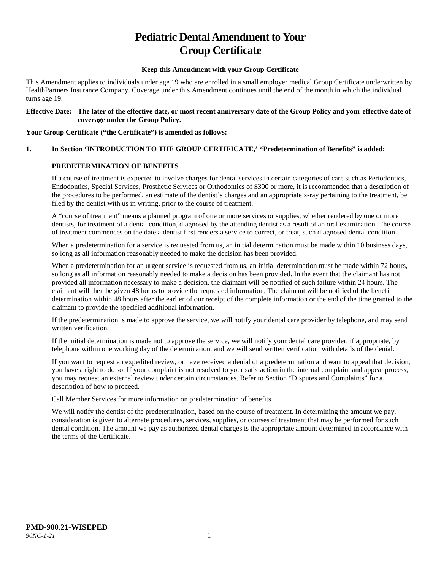# **Pediatric Dental Amendment to Your Group Certificate**

#### **Keep this Amendment with your Group Certificate**

This Amendment applies to individuals under age 19 who are enrolled in a small employer medical Group Certificate underwritten by HealthPartners Insurance Company. Coverage under this Amendment continues until the end of the month in which the individual turns age 19.

#### **Effective Date: The later of the effective date, or most recent anniversary date of the Group Policy and your effective date of coverage under the Group Policy.**

#### **Your Group Certificate ("the Certificate") is amended as follows:**

## **1. In Section 'INTRODUCTION TO THE GROUP CERTIFICATE,' "Predetermination of Benefits" is added:**

#### **PREDETERMINATION OF BENEFITS**

If a course of treatment is expected to involve charges for dental services in certain categories of care such as Periodontics, Endodontics, Special Services, Prosthetic Services or Orthodontics of \$300 or more, it is recommended that a description of the procedures to be performed, an estimate of the dentist's charges and an appropriate x-ray pertaining to the treatment, be filed by the dentist with us in writing, prior to the course of treatment.

A "course of treatment" means a planned program of one or more services or supplies, whether rendered by one or more dentists, for treatment of a dental condition, diagnosed by the attending dentist as a result of an oral examination. The course of treatment commences on the date a dentist first renders a service to correct, or treat, such diagnosed dental condition.

When a predetermination for a service is requested from us, an initial determination must be made within 10 business days, so long as all information reasonably needed to make the decision has been provided.

When a predetermination for an urgent service is requested from us, an initial determination must be made within 72 hours, so long as all information reasonably needed to make a decision has been provided. In the event that the claimant has not provided all information necessary to make a decision, the claimant will be notified of such failure within 24 hours. The claimant will then be given 48 hours to provide the requested information. The claimant will be notified of the benefit determination within 48 hours after the earlier of our receipt of the complete information or the end of the time granted to the claimant to provide the specified additional information.

If the predetermination is made to approve the service, we will notify your dental care provider by telephone, and may send written verification.

If the initial determination is made not to approve the service, we will notify your dental care provider, if appropriate, by telephone within one working day of the determination, and we will send written verification with details of the denial.

If you want to request an expedited review, or have received a denial of a predetermination and want to appeal that decision, you have a right to do so. If your complaint is not resolved to your satisfaction in the internal complaint and appeal process, you may request an external review under certain circumstances. Refer to Section "Disputes and Complaints" for a description of how to proceed.

Call Member Services for more information on predetermination of benefits.

We will notify the dentist of the predetermination, based on the course of treatment. In determining the amount we pay, consideration is given to alternate procedures, services, supplies, or courses of treatment that may be performed for such dental condition. The amount we pay as authorized dental charges is the appropriate amount determined in accordance with the terms of the Certificate.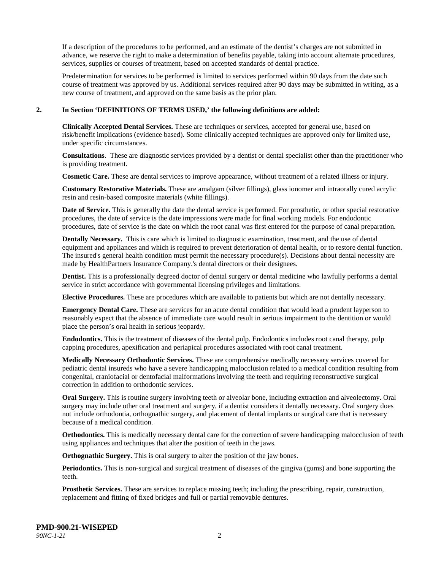If a description of the procedures to be performed, and an estimate of the dentist's charges are not submitted in advance, we reserve the right to make a determination of benefits payable, taking into account alternate procedures, services, supplies or courses of treatment, based on accepted standards of dental practice.

Predetermination for services to be performed is limited to services performed within 90 days from the date such course of treatment was approved by us. Additional services required after 90 days may be submitted in writing, as a new course of treatment, and approved on the same basis as the prior plan.

#### **2. In Section 'DEFINITIONS OF TERMS USED,' the following definitions are added:**

**Clinically Accepted Dental Services.** These are techniques or services, accepted for general use, based on risk/benefit implications (evidence based). Some clinically accepted techniques are approved only for limited use, under specific circumstances.

**Consultations**. These are diagnostic services provided by a dentist or dental specialist other than the practitioner who is providing treatment.

**Cosmetic Care.** These are dental services to improve appearance, without treatment of a related illness or injury.

**Customary Restorative Materials.** These are amalgam (silver fillings), glass ionomer and intraorally cured acrylic resin and resin-based composite materials (white fillings).

**Date of Service.** This is generally the date the dental service is performed. For prosthetic, or other special restorative procedures, the date of service is the date impressions were made for final working models. For endodontic procedures, date of service is the date on which the root canal was first entered for the purpose of canal preparation.

**Dentally Necessary.** This is care which is limited to diagnostic examination, treatment, and the use of dental equipment and appliances and which is required to prevent deterioration of dental health, or to restore dental function. The insured's general health condition must permit the necessary procedure(s). Decisions about dental necessity are made by HealthPartners Insurance Company.'s dental directors or their designees.

**Dentist.** This is a professionally degreed doctor of dental surgery or dental medicine who lawfully performs a dental service in strict accordance with governmental licensing privileges and limitations.

**Elective Procedures.** These are procedures which are available to patients but which are not dentally necessary.

**Emergency Dental Care.** These are services for an acute dental condition that would lead a prudent layperson to reasonably expect that the absence of immediate care would result in serious impairment to the dentition or would place the person's oral health in serious jeopardy.

**Endodontics.** This is the treatment of diseases of the dental pulp. Endodontics includes root canal therapy, pulp capping procedures, apexification and periapical procedures associated with root canal treatment.

**Medically Necessary Orthodontic Services.** These are comprehensive medically necessary services covered for pediatric dental insureds who have a severe handicapping malocclusion related to a medical condition resulting from congenital, craniofacial or dentofacial malformations involving the teeth and requiring reconstructive surgical correction in addition to orthodontic services.

**Oral Surgery.** This is routine surgery involving teeth or alveolar bone, including extraction and alveolectomy. Oral surgery may include other oral treatment and surgery, if a dentist considers it dentally necessary. Oral surgery does not include orthodontia, orthognathic surgery, and placement of dental implants or surgical care that is necessary because of a medical condition.

**Orthodontics.** This is medically necessary dental care for the correction of severe handicapping malocclusion of teeth using appliances and techniques that alter the position of teeth in the jaws.

**Orthognathic Surgery.** This is oral surgery to alter the position of the jaw bones.

**Periodontics.** This is non-surgical and surgical treatment of diseases of the gingiva (gums) and bone supporting the teeth.

**Prosthetic Services.** These are services to replace missing teeth; including the prescribing, repair, construction, replacement and fitting of fixed bridges and full or partial removable dentures.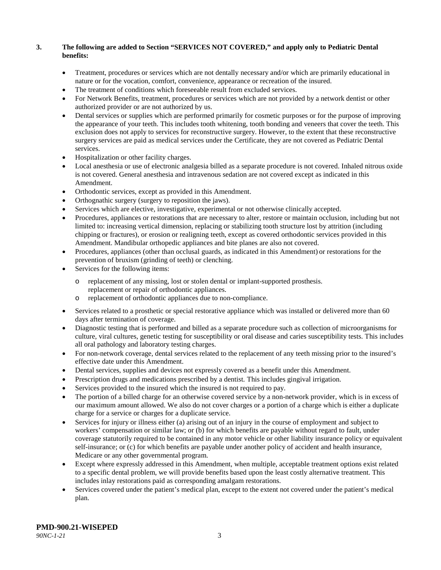### **3. The following are added to Section "SERVICES NOT COVERED," and apply only to Pediatric Dental benefits:**

- Treatment, procedures or services which are not dentally necessary and/or which are primarily educational in nature or for the vocation, comfort, convenience, appearance or recreation of the insured.
- The treatment of conditions which foreseeable result from excluded services.
- For Network Benefits, treatment, procedures or services which are not provided by a network dentist or other authorized provider or are not authorized by us.
- Dental services or supplies which are performed primarily for cosmetic purposes or for the purpose of improving the appearance of your teeth. This includes tooth whitening, tooth bonding and veneers that cover the teeth. This exclusion does not apply to services for reconstructive surgery. However, to the extent that these reconstructive surgery services are paid as medical services under the Certificate, they are not covered as Pediatric Dental services.
- Hospitalization or other facility charges.
- Local anesthesia or use of electronic analgesia billed as a separate procedure is not covered. Inhaled nitrous oxide is not covered. General anesthesia and intravenous sedation are not covered except as indicated in this Amendment.
- Orthodontic services, except as provided in this Amendment.
- Orthognathic surgery (surgery to reposition the jaws).
- Services which are elective, investigative, experimental or not otherwise clinically accepted.
- Procedures, appliances or restorations that are necessary to alter, restore or maintain occlusion, including but not limited to: increasing vertical dimension, replacing or stabilizing tooth structure lost by attrition (including chipping or fractures), or erosion or realigning teeth, except as covered orthodontic services provided in this Amendment. Mandibular orthopedic appliances and bite planes are also not covered.
- Procedures, appliances (other than occlusal guards, as indicated in this Amendment) or restorations for the prevention of bruxism (grinding of teeth) or clenching.
- Services for the following items:
	- o replacement of any missing, lost or stolen dental or implant-supported prosthesis. replacement or repair of orthodontic appliances.
	- o replacement of orthodontic appliances due to non-compliance.
- Services related to a prosthetic or special restorative appliance which was installed or delivered more than 60 days after termination of coverage.
- Diagnostic testing that is performed and billed as a separate procedure such as collection of microorganisms for culture, viral cultures, genetic testing for susceptibility or oral disease and caries susceptibility tests. This includes all oral pathology and laboratory testing charges.
- For non-network coverage, dental services related to the replacement of any teeth missing prior to the insured's effective date under this Amendment.
- Dental services, supplies and devices not expressly covered as a benefit under this Amendment.
- Prescription drugs and medications prescribed by a dentist. This includes gingival irrigation.
- Services provided to the insured which the insured is not required to pay.
- The portion of a billed charge for an otherwise covered service by a non-network provider, which is in excess of our maximum amount allowed. We also do not cover charges or a portion of a charge which is either a duplicate charge for a service or charges for a duplicate service.
- Services for injury or illness either (a) arising out of an injury in the course of employment and subject to workers' compensation or similar law; or (b) for which benefits are payable without regard to fault, under coverage statutorily required to be contained in any motor vehicle or other liability insurance policy or equivalent self-insurance; or (c) for which benefits are payable under another policy of accident and health insurance, Medicare or any other governmental program.
- Except where expressly addressed in this Amendment, when multiple, acceptable treatment options exist related to a specific dental problem, we will provide benefits based upon the least costly alternative treatment. This includes inlay restorations paid as corresponding amalgam restorations.
- Services covered under the patient's medical plan, except to the extent not covered under the patient's medical plan.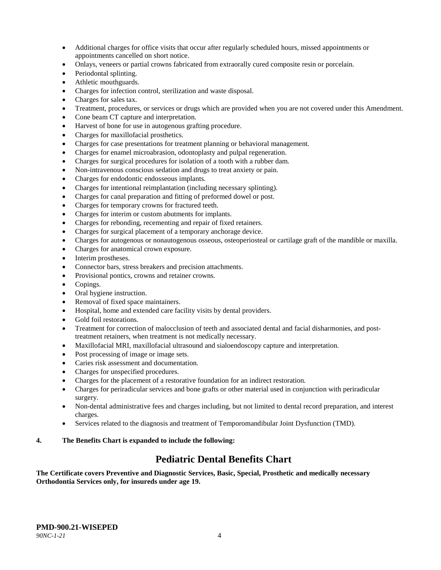- Additional charges for office visits that occur after regularly scheduled hours, missed appointments or appointments cancelled on short notice.
- Onlays, veneers or partial crowns fabricated from extraorally cured composite resin or porcelain.
- Periodontal splinting.
- Athletic mouthguards.
- Charges for infection control, sterilization and waste disposal.
- Charges for sales tax.
- Treatment, procedures, or services or drugs which are provided when you are not covered under this Amendment.
- Cone beam CT capture and interpretation.
- Harvest of bone for use in autogenous grafting procedure.
- Charges for maxillofacial prosthetics.
- Charges for case presentations for treatment planning or behavioral management.
- Charges for enamel microabrasion, odontoplasty and pulpal regeneration.
- Charges for surgical procedures for isolation of a tooth with a rubber dam.
- Non-intravenous conscious sedation and drugs to treat anxiety or pain.
- Charges for endodontic endosseous implants.
- Charges for intentional reimplantation (including necessary splinting).
- Charges for canal preparation and fitting of preformed dowel or post.
- Charges for temporary crowns for fractured teeth.
- Charges for interim or custom abutments for implants.
- Charges for rebonding, recementing and repair of fixed retainers.
- Charges for surgical placement of a temporary anchorage device.
- Charges for autogenous or nonautogenous osseous, osteoperiosteal or cartilage graft of the mandible or maxilla.
- Charges for anatomical crown exposure.
- Interim prostheses.
- Connector bars, stress breakers and precision attachments.
- Provisional pontics, crowns and retainer crowns.
- Copings.
- Oral hygiene instruction.
- Removal of fixed space maintainers.
- Hospital, home and extended care facility visits by dental providers.
- Gold foil restorations.
- Treatment for correction of malocclusion of teeth and associated dental and facial disharmonies, and posttreatment retainers, when treatment is not medically necessary.
- Maxillofacial MRI, maxillofacial ultrasound and sialoendoscopy capture and interpretation.
- Post processing of image or image sets.
- Caries risk assessment and documentation.
- Charges for unspecified procedures.
- Charges for the placement of a restorative foundation for an indirect restoration.
- Charges for periradicular services and bone grafts or other material used in conjunction with periradicular surgery.
- Non-dental administrative fees and charges including, but not limited to dental record preparation, and interest charges.
- Services related to the diagnosis and treatment of Temporomandibular Joint Dysfunction (TMD).

## **4. The Benefits Chart is expanded to include the following:**

## **Pediatric Dental Benefits Chart**

**The Certificate covers Preventive and Diagnostic Services, Basic, Special, Prosthetic and medically necessary Orthodontia Services only, for insureds under age 19.**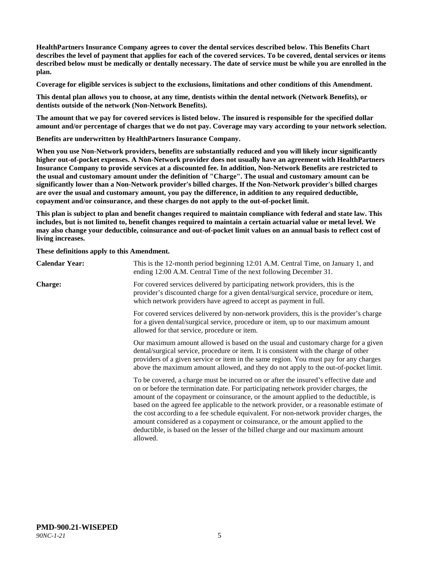**HealthPartners Insurance Company agrees to cover the dental services described below. This Benefits Chart describes the level of payment that applies for each of the covered services. To be covered, dental services or items described below must be medically or dentally necessary. The date of service must be while you are enrolled in the plan.**

**Coverage for eligible services is subject to the exclusions, limitations and other conditions of this Amendment.**

**This dental plan allows you to choose, at any time, dentists within the dental network (Network Benefits), or dentists outside of the network (Non-Network Benefits).**

**The amount that we pay for covered services is listed below. The insured is responsible for the specified dollar amount and/or percentage of charges that we do not pay. Coverage may vary according to your network selection.**

**Benefits are underwritten by HealthPartners Insurance Company.**

**When you use Non-Network providers, benefits are substantially reduced and you will likely incur significantly higher out-of-pocket expenses. A Non-Network provider does not usually have an agreement with HealthPartners Insurance Company to provide services at a discounted fee. In addition, Non-Network Benefits are restricted to the usual and customary amount under the definition of "Charge". The usual and customary amount can be significantly lower than a Non-Network provider's billed charges. If the Non-Network provider's billed charges are over the usual and customary amount, you pay the difference, in addition to any required deductible, copayment and/or coinsurance, and these charges do not apply to the out-of-pocket limit.**

**This plan is subject to plan and benefit changes required to maintain compliance with federal and state law. This includes, but is not limited to, benefit changes required to maintain a certain actuarial value or metal level. We may also change your deductible, coinsurance and out-of-pocket limit values on an annual basis to reflect cost of living increases.**

**These definitions apply to this Amendment.**

| <b>Calendar Year:</b> | This is the 12-month period beginning 12:01 A.M. Central Time, on January 1, and<br>ending 12:00 A.M. Central Time of the next following December 31.                                                                                                                                                                                                                                                                                                                                                                                                                                                                                  |
|-----------------------|----------------------------------------------------------------------------------------------------------------------------------------------------------------------------------------------------------------------------------------------------------------------------------------------------------------------------------------------------------------------------------------------------------------------------------------------------------------------------------------------------------------------------------------------------------------------------------------------------------------------------------------|
| <b>Charge:</b>        | For covered services delivered by participating network providers, this is the<br>provider's discounted charge for a given dental/surgical service, procedure or item,<br>which network providers have agreed to accept as payment in full.                                                                                                                                                                                                                                                                                                                                                                                            |
|                       | For covered services delivered by non-network providers, this is the provider's charge<br>for a given dental/surgical service, procedure or item, up to our maximum amount<br>allowed for that service, procedure or item.                                                                                                                                                                                                                                                                                                                                                                                                             |
|                       | Our maximum amount allowed is based on the usual and customary charge for a given<br>dental/surgical service, procedure or item. It is consistent with the charge of other<br>providers of a given service or item in the same region. You must pay for any charges<br>above the maximum amount allowed, and they do not apply to the out-of-pocket limit.                                                                                                                                                                                                                                                                             |
|                       | To be covered, a charge must be incurred on or after the insured's effective date and<br>on or before the termination date. For participating network provider charges, the<br>amount of the copayment or coinsurance, or the amount applied to the deductible, is<br>based on the agreed fee applicable to the network provider, or a reasonable estimate of<br>the cost according to a fee schedule equivalent. For non-network provider charges, the<br>amount considered as a copayment or coinsurance, or the amount applied to the<br>deductible, is based on the lesser of the billed charge and our maximum amount<br>allowed. |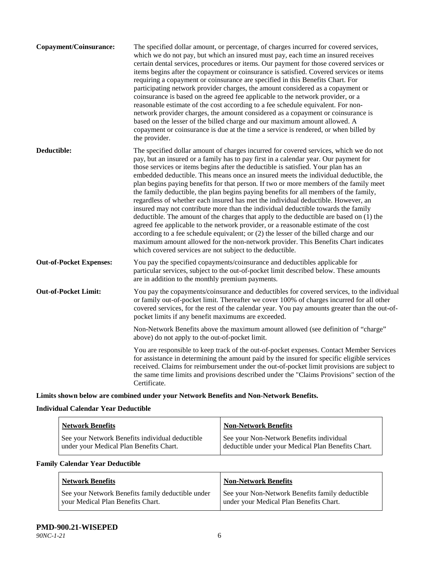| Copayment/Coinsurance:         | The specified dollar amount, or percentage, of charges incurred for covered services,<br>which we do not pay, but which an insured must pay, each time an insured receives<br>certain dental services, procedures or items. Our payment for those covered services or<br>items begins after the copayment or coinsurance is satisfied. Covered services or items<br>requiring a copayment or coinsurance are specified in this Benefits Chart. For<br>participating network provider charges, the amount considered as a copayment or<br>coinsurance is based on the agreed fee applicable to the network provider, or a<br>reasonable estimate of the cost according to a fee schedule equivalent. For non-<br>network provider charges, the amount considered as a copayment or coinsurance is<br>based on the lesser of the billed charge and our maximum amount allowed. A<br>copayment or coinsurance is due at the time a service is rendered, or when billed by<br>the provider.                                                                                                                                                                 |
|--------------------------------|---------------------------------------------------------------------------------------------------------------------------------------------------------------------------------------------------------------------------------------------------------------------------------------------------------------------------------------------------------------------------------------------------------------------------------------------------------------------------------------------------------------------------------------------------------------------------------------------------------------------------------------------------------------------------------------------------------------------------------------------------------------------------------------------------------------------------------------------------------------------------------------------------------------------------------------------------------------------------------------------------------------------------------------------------------------------------------------------------------------------------------------------------------|
| Deductible:                    | The specified dollar amount of charges incurred for covered services, which we do not<br>pay, but an insured or a family has to pay first in a calendar year. Our payment for<br>those services or items begins after the deductible is satisfied. Your plan has an<br>embedded deductible. This means once an insured meets the individual deductible, the<br>plan begins paying benefits for that person. If two or more members of the family meet<br>the family deductible, the plan begins paying benefits for all members of the family,<br>regardless of whether each insured has met the individual deductible. However, an<br>insured may not contribute more than the individual deductible towards the family<br>deductible. The amount of the charges that apply to the deductible are based on (1) the<br>agreed fee applicable to the network provider, or a reasonable estimate of the cost<br>according to a fee schedule equivalent; or (2) the lesser of the billed charge and our<br>maximum amount allowed for the non-network provider. This Benefits Chart indicates<br>which covered services are not subject to the deductible. |
| <b>Out-of-Pocket Expenses:</b> | You pay the specified copayments/coinsurance and deductibles applicable for<br>particular services, subject to the out-of-pocket limit described below. These amounts<br>are in addition to the monthly premium payments.                                                                                                                                                                                                                                                                                                                                                                                                                                                                                                                                                                                                                                                                                                                                                                                                                                                                                                                               |
| <b>Out-of-Pocket Limit:</b>    | You pay the copayments/coinsurance and deductibles for covered services, to the individual<br>or family out-of-pocket limit. Thereafter we cover 100% of charges incurred for all other<br>covered services, for the rest of the calendar year. You pay amounts greater than the out-of-<br>pocket limits if any benefit maximums are exceeded.                                                                                                                                                                                                                                                                                                                                                                                                                                                                                                                                                                                                                                                                                                                                                                                                         |
|                                | Non-Network Benefits above the maximum amount allowed (see definition of "charge"<br>above) do not apply to the out-of-pocket limit.                                                                                                                                                                                                                                                                                                                                                                                                                                                                                                                                                                                                                                                                                                                                                                                                                                                                                                                                                                                                                    |
|                                | You are responsible to keep track of the out-of-pocket expenses. Contact Member Services<br>for assistance in determining the amount paid by the insured for specific eligible services<br>received. Claims for reimbursement under the out-of-pocket limit provisions are subject to<br>the same time limits and provisions described under the "Claims Provisions" section of the<br>Certificate.                                                                                                                                                                                                                                                                                                                                                                                                                                                                                                                                                                                                                                                                                                                                                     |

**Limits shown below are combined under your Network Benefits and Non-Network Benefits.**

## **Individual Calendar Year Deductible**

| <b>Network Benefits</b>                         | <b>Non-Network Benefits</b>                        |
|-------------------------------------------------|----------------------------------------------------|
| See your Network Benefits individual deductible | See your Non-Network Benefits individual           |
| under your Medical Plan Benefits Chart.         | deductible under your Medical Plan Benefits Chart. |

## **Family Calendar Year Deductible**

| <b>Network Benefits</b>                           | <b>Non-Network Benefits</b>                     |
|---------------------------------------------------|-------------------------------------------------|
| See your Network Benefits family deductible under | See your Non-Network Benefits family deductible |
| vour Medical Plan Benefits Chart.                 | under your Medical Plan Benefits Chart.         |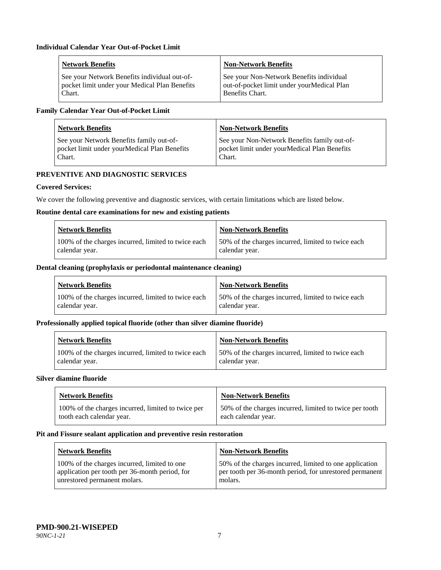| <b>Network Benefits</b>                       | <b>Non-Network Benefits</b>                |
|-----------------------------------------------|--------------------------------------------|
| See your Network Benefits individual out-of-  | See your Non-Network Benefits individual   |
| pocket limit under your Medical Plan Benefits | out-of-pocket limit under yourMedical Plan |
| Chart.                                        | Benefits Chart.                            |

## **Family Calendar Year Out-of-Pocket Limit**

| <b>Network Benefits</b>                      | <b>Non-Network Benefits</b>                  |
|----------------------------------------------|----------------------------------------------|
| See your Network Benefits family out-of-     | See your Non-Network Benefits family out-of- |
| pocket limit under yourMedical Plan Benefits | pocket limit under yourMedical Plan Benefits |
| Chart.                                       | Chart.                                       |

## **PREVENTIVE AND DIAGNOSTIC SERVICES**

## **Covered Services:**

We cover the following preventive and diagnostic services, with certain limitations which are listed below.

#### **Routine dental care examinations for new and existing patients**

| <b>Network Benefits</b>                             | <b>Non-Network Benefits</b>                        |
|-----------------------------------------------------|----------------------------------------------------|
| 100% of the charges incurred, limited to twice each | 50% of the charges incurred, limited to twice each |
| calendar year.                                      | calendar year.                                     |

#### **Dental cleaning (prophylaxis or periodontal maintenance cleaning)**

| Network Benefits                                    | Non-Network Benefits                                |
|-----------------------------------------------------|-----------------------------------------------------|
| 100% of the charges incurred, limited to twice each | 150% of the charges incurred, limited to twice each |
| calendar year.                                      | calendar year.                                      |

#### **Professionally applied topical fluoride (other than silver diamine fluoride)**

| <b>Network Benefits</b>                             | <b>Non-Network Benefits</b>                         |
|-----------------------------------------------------|-----------------------------------------------------|
| 100% of the charges incurred, limited to twice each | 150% of the charges incurred, limited to twice each |
| calendar year.                                      | calendar year.                                      |

#### **Silver diamine fluoride**

| <b>Network Benefits</b>                            | <b>Non-Network Benefits</b>                             |
|----------------------------------------------------|---------------------------------------------------------|
| 100% of the charges incurred, limited to twice per | 50% of the charges incurred, limited to twice per tooth |
| tooth each calendar year.                          | each calendar year.                                     |

### **Pit and Fissure sealant application and preventive resin restoration**

| Network Benefits                                                                                                               | <b>Non-Network Benefits</b>                                                                                                   |
|--------------------------------------------------------------------------------------------------------------------------------|-------------------------------------------------------------------------------------------------------------------------------|
| 100% of the charges incurred, limited to one<br>application per tooth per 36-month period, for<br>unrestored permanent molars. | 50% of the charges incurred, limited to one application<br>per tooth per 36-month period, for unrestored permanent<br>molars. |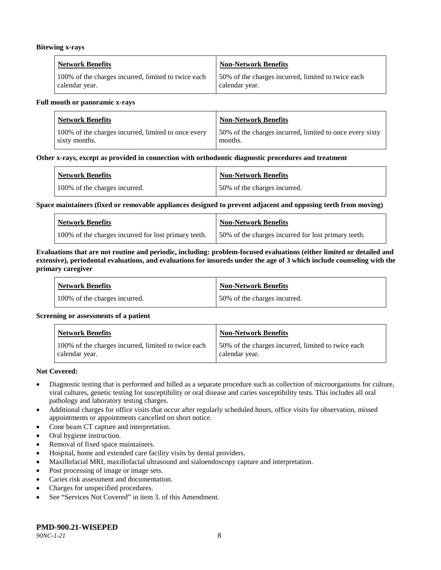#### **Bitewing x-rays**

| <b>Network Benefits</b>                             | Non-Network Benefits                               |
|-----------------------------------------------------|----------------------------------------------------|
| 100% of the charges incurred, limited to twice each | 50% of the charges incurred, limited to twice each |
| calendar year.                                      | calendar year.                                     |

#### **Full mouth or panoramic x-rays**

| <b>Network Benefits</b>                             | <b>Non-Network Benefits</b>                              |
|-----------------------------------------------------|----------------------------------------------------------|
| 100% of the charges incurred, limited to once every | 50% of the charges incurred, limited to once every sixty |
| sixty months.                                       | months.                                                  |

#### **Other x-rays, except as provided in connection with orthodontic diagnostic procedures and treatment**

| <b>Network Benefits</b>       | <b>Non-Network Benefits</b>  |
|-------------------------------|------------------------------|
| 100% of the charges incurred. | 50% of the charges incurred. |

#### **Space maintainers (fixed or removable appliances designed to prevent adjacent and opposing teeth from moving)**

| <b>Network Benefits</b>                              | <b>Non-Network Benefits</b>                         |
|------------------------------------------------------|-----------------------------------------------------|
| 100% of the charges incurred for lost primary teeth. | 50% of the charges incurred for lost primary teeth. |

#### **Evaluations that are not routine and periodic, including: problem-focused evaluations (either limited or detailed and extensive), periodontal evaluations, and evaluations for insureds under the age of 3 which include counseling with the primary caregiver**

| <b>Network Benefits</b>       | <b>Non-Network Benefits</b>  |
|-------------------------------|------------------------------|
| 100% of the charges incurred. | 50% of the charges incurred. |

#### **Screening or assessments of a patient**

| <b>Network Benefits</b>                                               | Non-Network Benefits                                                  |
|-----------------------------------------------------------------------|-----------------------------------------------------------------------|
| 100% of the charges incurred, limited to twice each<br>calendar year. | 150% of the charges incurred, limited to twice each<br>calendar year. |

#### **Not Covered:**

- Diagnostic testing that is performed and billed as a separate procedure such as collection of microorganisms for culture, viral cultures, genetic testing for susceptibility or oral disease and caries susceptibility tests. This includes all oral pathology and laboratory testing charges.
- Additional charges for office visits that occur after regularly scheduled hours, office visits for observation, missed appointments or appointments cancelled on short notice.
- Cone beam CT capture and interpretation.
- Oral hygiene instruction.
- Removal of fixed space maintainers.
- Hospital, home and extended care facility visits by dental providers.
- Maxillofacial MRI, maxillofacial ultrasound and sialoendoscopy capture and interpretation.
- Post processing of image or image sets.
- Caries risk assessment and documentation.
- Charges for unspecified procedures.
- See "Services Not Covered" in item 3. of this Amendment.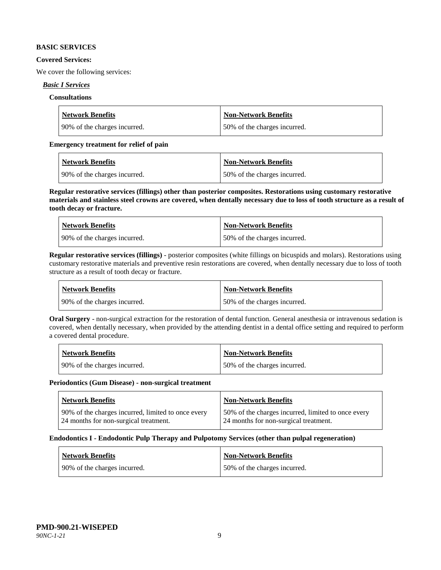#### **BASIC SERVICES**

#### **Covered Services:**

We cover the following services:

#### *Basic I Services*

#### **Consultations**

| <b>Network Benefits</b>       | Non-Network Benefits         |
|-------------------------------|------------------------------|
| 190% of the charges incurred. | 50% of the charges incurred. |

#### **Emergency treatment for relief of pain**

| <b>Network Benefits</b>       | <b>Non-Network Benefits</b>  |
|-------------------------------|------------------------------|
| 190% of the charges incurred. | 50% of the charges incurred. |

**Regular restorative services (fillings) other than posterior composites. Restorations using customary restorative materials and stainless steel crowns are covered, when dentally necessary due to loss of tooth structure as a result of tooth decay or fracture.**

| <b>Network Benefits</b>       | <b>Non-Network Benefits</b>  |
|-------------------------------|------------------------------|
| 190% of the charges incurred. | 50% of the charges incurred. |

**Regular restorative services (fillings)** - posterior composites (white fillings on bicuspids and molars). Restorations using customary restorative materials and preventive resin restorations are covered, when dentally necessary due to loss of tooth structure as a result of tooth decay or fracture.

| <b>Network Benefits</b>        | <b>Non-Network Benefits</b>  |
|--------------------------------|------------------------------|
| 1 90% of the charges incurred. | 50% of the charges incurred. |

**Oral Surgery** - non-surgical extraction for the restoration of dental function. General anesthesia or intravenous sedation is covered, when dentally necessary, when provided by the attending dentist in a dental office setting and required to perform a covered dental procedure.

| <b>Network Benefits</b>       | <b>Non-Network Benefits</b>  |
|-------------------------------|------------------------------|
| 190% of the charges incurred. | 50% of the charges incurred. |

#### **Periodontics (Gum Disease) - non-surgical treatment**

| <b>Network Benefits</b>                            | <b>Non-Network Benefits</b>                        |
|----------------------------------------------------|----------------------------------------------------|
| 90% of the charges incurred, limited to once every | 50% of the charges incurred, limited to once every |
| 24 months for non-surgical treatment.              | 24 months for non-surgical treatment.              |

#### **Endodontics I - Endodontic Pulp Therapy and Pulpotomy Services (other than pulpal regeneration)**

| <b>Network Benefits</b>      | <b>Non-Network Benefits</b>  |
|------------------------------|------------------------------|
| 90% of the charges incurred. | 50% of the charges incurred. |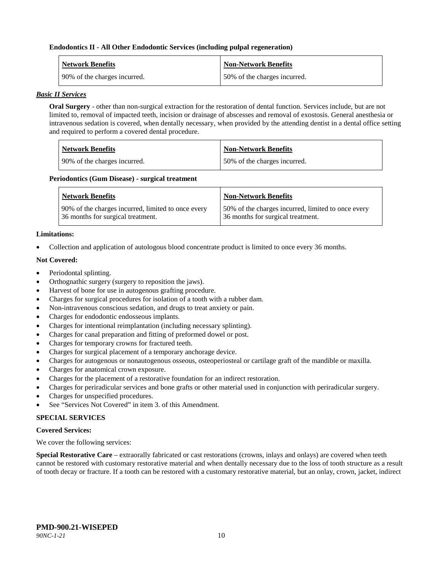#### **Endodontics II - All Other Endodontic Services (including pulpal regeneration)**

| <b>Network Benefits</b>      | <b>Non-Network Benefits</b>  |
|------------------------------|------------------------------|
| 90% of the charges incurred. | 50% of the charges incurred. |

#### *Basic II Services*

**Oral Surgery** - other than non-surgical extraction for the restoration of dental function. Services include, but are not limited to, removal of impacted teeth, incision or drainage of abscesses and removal of exostosis. General anesthesia or intravenous sedation is covered, when dentally necessary, when provided by the attending dentist in a dental office setting and required to perform a covered dental procedure.

| <b>Network Benefits</b>      | <b>Non-Network Benefits</b>  |
|------------------------------|------------------------------|
| 90% of the charges incurred. | 50% of the charges incurred. |

#### **Periodontics (Gum Disease) - surgical treatment**

| <b>Network Benefits</b>                            | <b>Non-Network Benefits</b>                        |
|----------------------------------------------------|----------------------------------------------------|
| 90% of the charges incurred, limited to once every | 50% of the charges incurred, limited to once every |
| 36 months for surgical treatment.                  | 36 months for surgical treatment.                  |

#### **Limitations:**

• Collection and application of autologous blood concentrate product is limited to once every 36 months.

#### **Not Covered:**

- Periodontal splinting.
- Orthognathic surgery (surgery to reposition the jaws).
- Harvest of bone for use in autogenous grafting procedure.
- Charges for surgical procedures for isolation of a tooth with a rubber dam.
- Non-intravenous conscious sedation, and drugs to treat anxiety or pain.
- Charges for endodontic endosseous implants.
- Charges for intentional reimplantation (including necessary splinting).
- Charges for canal preparation and fitting of preformed dowel or post.
- Charges for temporary crowns for fractured teeth.
- Charges for surgical placement of a temporary anchorage device.
- Charges for autogenous or nonautogenous osseous, osteoperiosteal or cartilage graft of the mandible or maxilla.
- Charges for anatomical crown exposure.
- Charges for the placement of a restorative foundation for an indirect restoration.
- Charges for periradicular services and bone grafts or other material used in conjunction with periradicular surgery.
- Charges for unspecified procedures.
- See "Services Not Covered" in item 3. of this Amendment.

## **SPECIAL SERVICES**

#### **Covered Services:**

We cover the following services:

**Special Restorative Care** – extraorally fabricated or cast restorations (crowns, inlays and onlays) are covered when teeth cannot be restored with customary restorative material and when dentally necessary due to the loss of tooth structure as a result of tooth decay or fracture. If a tooth can be restored with a customary restorative material, but an onlay, crown, jacket, indirect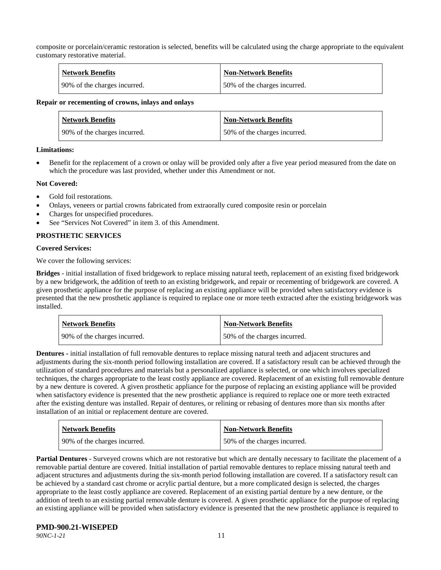composite or porcelain/ceramic restoration is selected, benefits will be calculated using the charge appropriate to the equivalent customary restorative material.

| <b>Network Benefits</b>      | <b>Non-Network Benefits</b>  |
|------------------------------|------------------------------|
| 90% of the charges incurred. | 50% of the charges incurred. |

#### **Repair or recementing of crowns, inlays and onlays**

| <b>Network Benefits</b>      | <b>Non-Network Benefits</b>  |
|------------------------------|------------------------------|
| 90% of the charges incurred. | 50% of the charges incurred. |

#### **Limitations:**

• Benefit for the replacement of a crown or onlay will be provided only after a five year period measured from the date on which the procedure was last provided, whether under this Amendment or not.

#### **Not Covered:**

- Gold foil restorations.
- Onlays, veneers or partial crowns fabricated from extraorally cured composite resin or porcelain
- Charges for unspecified procedures.
- See "Services Not Covered" in item 3, of this Amendment.

#### **PROSTHETIC SERVICES**

#### **Covered Services:**

We cover the following services:

**Bridges** - initial installation of fixed bridgework to replace missing natural teeth, replacement of an existing fixed bridgework by a new bridgework, the addition of teeth to an existing bridgework, and repair or recementing of bridgework are covered. A given prosthetic appliance for the purpose of replacing an existing appliance will be provided when satisfactory evidence is presented that the new prosthetic appliance is required to replace one or more teeth extracted after the existing bridgework was installed.

| <b>Network Benefits</b>      | <b>Non-Network Benefits</b>  |
|------------------------------|------------------------------|
| 90% of the charges incurred. | 50% of the charges incurred. |

**Dentures -** initial installation of full removable dentures to replace missing natural teeth and adjacent structures and adjustments during the six-month period following installation are covered. If a satisfactory result can be achieved through the utilization of standard procedures and materials but a personalized appliance is selected, or one which involves specialized techniques, the charges appropriate to the least costly appliance are covered. Replacement of an existing full removable denture by a new denture is covered. A given prosthetic appliance for the purpose of replacing an existing appliance will be provided when satisfactory evidence is presented that the new prosthetic appliance is required to replace one or more teeth extracted after the existing denture was installed. Repair of dentures, or relining or rebasing of dentures more than six months after installation of an initial or replacement denture are covered.

| <b>Network Benefits</b>      | <b>Non-Network Benefits</b>  |
|------------------------------|------------------------------|
| 90% of the charges incurred. | 50% of the charges incurred. |

**Partial Dentures** - Surveyed crowns which are not restorative but which are dentally necessary to facilitate the placement of a removable partial denture are covered. Initial installation of partial removable dentures to replace missing natural teeth and adjacent structures and adjustments during the six-month period following installation are covered. If a satisfactory result can be achieved by a standard cast chrome or acrylic partial denture, but a more complicated design is selected, the charges appropriate to the least costly appliance are covered. Replacement of an existing partial denture by a new denture, or the addition of teeth to an existing partial removable denture is covered. A given prosthetic appliance for the purpose of replacing an existing appliance will be provided when satisfactory evidence is presented that the new prosthetic appliance is required to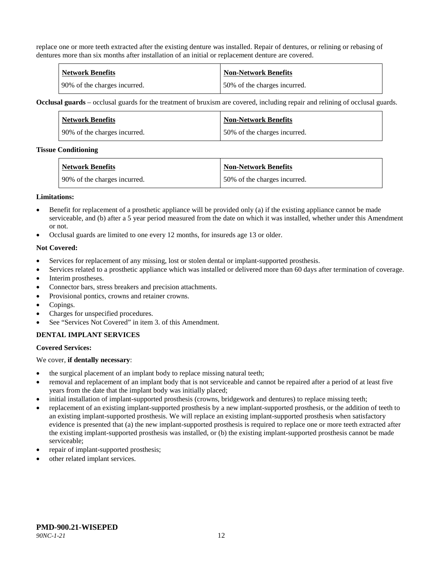replace one or more teeth extracted after the existing denture was installed. Repair of dentures, or relining or rebasing of dentures more than six months after installation of an initial or replacement denture are covered.

| <b>Network Benefits</b>      | Non-Network Benefits         |
|------------------------------|------------------------------|
| 90% of the charges incurred. | 50% of the charges incurred. |

**Occlusal guards** – occlusal guards for the treatment of bruxism are covered, including repair and relining of occlusal guards.

| Network Benefits             | <b>Non-Network Benefits</b>  |
|------------------------------|------------------------------|
| 90% of the charges incurred. | 50% of the charges incurred. |

#### **Tissue Conditioning**

| Network Benefits             | <b>Non-Network Benefits</b>  |
|------------------------------|------------------------------|
| 90% of the charges incurred. | 50% of the charges incurred. |

#### **Limitations:**

- Benefit for replacement of a prosthetic appliance will be provided only (a) if the existing appliance cannot be made serviceable, and (b) after a 5 year period measured from the date on which it was installed, whether under this Amendment or not.
- Occlusal guards are limited to one every 12 months, for insureds age 13 or older.

#### **Not Covered:**

- Services for replacement of any missing, lost or stolen dental or implant-supported prosthesis.
- Services related to a prosthetic appliance which was installed or delivered more than 60 days after termination of coverage.
- Interim prostheses.
- Connector bars, stress breakers and precision attachments.
- Provisional pontics, crowns and retainer crowns.
- Copings.
- Charges for unspecified procedures.
- See "Services Not Covered" in item 3. of this Amendment.

## **DENTAL IMPLANT SERVICES**

#### **Covered Services:**

We cover, **if dentally necessary**:

- the surgical placement of an implant body to replace missing natural teeth;
- removal and replacement of an implant body that is not serviceable and cannot be repaired after a period of at least five years from the date that the implant body was initially placed;
- initial installation of implant-supported prosthesis (crowns, bridgework and dentures) to replace missing teeth;
- replacement of an existing implant-supported prosthesis by a new implant-supported prosthesis, or the addition of teeth to an existing implant-supported prosthesis. We will replace an existing implant-supported prosthesis when satisfactory evidence is presented that (a) the new implant-supported prosthesis is required to replace one or more teeth extracted after the existing implant-supported prosthesis was installed, or (b) the existing implant-supported prosthesis cannot be made serviceable;
- repair of implant-supported prosthesis;
- other related implant services.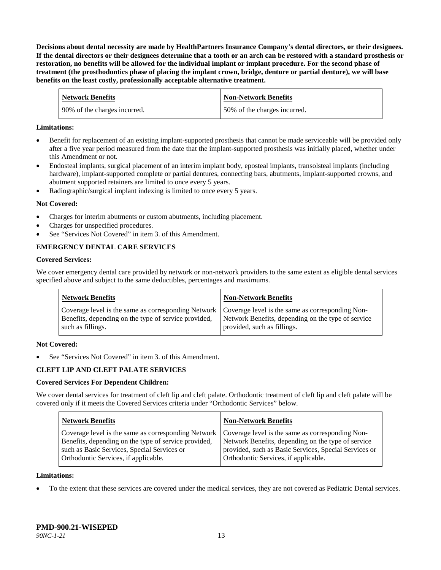**Decisions about dental necessity are made by HealthPartners Insurance Company**'**s dental directors, or their designees. If the dental directors or their designees determine that a tooth or an arch can be restored with a standard prosthesis or restoration, no benefits will be allowed for the individual implant or implant procedure. For the second phase of treatment (the prosthodontics phase of placing the implant crown, bridge, denture or partial denture), we will base benefits on the least costly, professionally acceptable alternative treatment.**

| <b>Network Benefits</b>      | Non-Network Benefits         |
|------------------------------|------------------------------|
| 90% of the charges incurred. | 50% of the charges incurred. |

#### **Limitations:**

- Benefit for replacement of an existing implant-supported prosthesis that cannot be made serviceable will be provided only after a five year period measured from the date that the implant-supported prosthesis was initially placed, whether under this Amendment or not.
- Endosteal implants, surgical placement of an interim implant body, eposteal implants, transolsteal implants (including hardware), implant-supported complete or partial dentures, connecting bars, abutments, implant-supported crowns, and abutment supported retainers are limited to once every 5 years.
- Radiographic/surgical implant indexing is limited to once every 5 years.

#### **Not Covered:**

- Charges for interim abutments or custom abutments, including placement.
- Charges for unspecified procedures.
- See "Services Not Covered" in item 3. of this Amendment.

## **EMERGENCY DENTAL CARE SERVICES**

#### **Covered Services:**

We cover emergency dental care provided by network or non-network providers to the same extent as eligible dental services specified above and subject to the same deductibles, percentages and maximums.

| <b>Network Benefits</b>                                                                                                                                                             | <b>Non-Network Benefits</b>                                                       |
|-------------------------------------------------------------------------------------------------------------------------------------------------------------------------------------|-----------------------------------------------------------------------------------|
| Coverage level is the same as corresponding Network   Coverage level is the same as corresponding Non-<br>Benefits, depending on the type of service provided,<br>such as fillings. | Network Benefits, depending on the type of service<br>provided, such as fillings. |

#### **Not Covered:**

See "Services Not Covered" in item 3. of this Amendment.

## **CLEFT LIP AND CLEFT PALATE SERVICES**

#### **Covered Services For Dependent Children:**

We cover dental services for treatment of cleft lip and cleft palate. Orthodontic treatment of cleft lip and cleft palate will be covered only if it meets the Covered Services criteria under "Orthodontic Services" below.

| <b>Network Benefits</b>                                                                                                                                                                                                                               | <b>Non-Network Benefits</b>                                                                                                                         |
|-------------------------------------------------------------------------------------------------------------------------------------------------------------------------------------------------------------------------------------------------------|-----------------------------------------------------------------------------------------------------------------------------------------------------|
| Coverage level is the same as corresponding Network   Coverage level is the same as corresponding Non-<br>Benefits, depending on the type of service provided,<br>such as Basic Services, Special Services or<br>Orthodontic Services, if applicable. | Network Benefits, depending on the type of service<br>provided, such as Basic Services, Special Services or<br>Orthodontic Services, if applicable. |

#### **Limitations:**

• To the extent that these services are covered under the medical services, they are not covered as Pediatric Dental services.